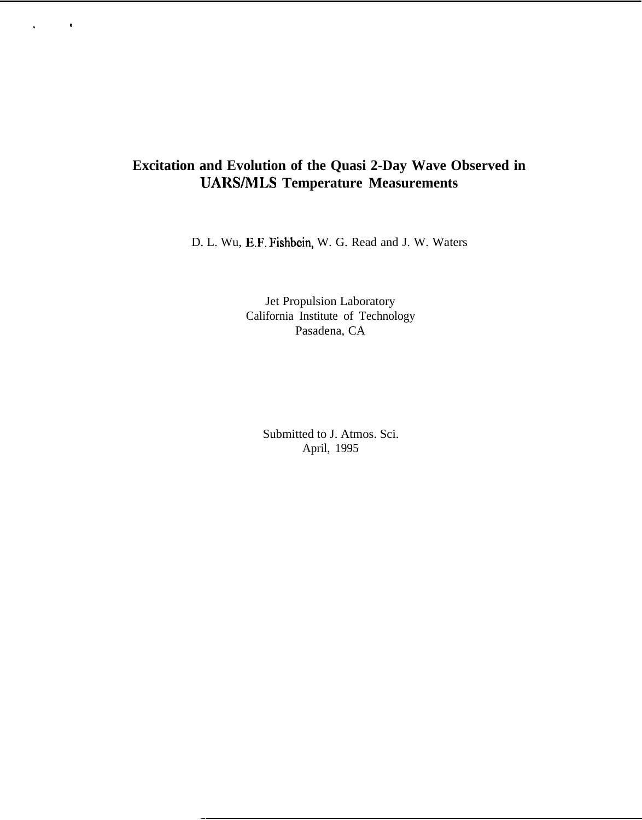# **Excitation and Evolution of the Quasi 2-Day Wave Observed in UARS/MLS Temperature Measurements**

 $\bar{\phantom{a}}$ 

 $\ddot{\phantom{0}}$ 

D. L. Wu, E.F. Fishbein, W. G. Read and J. W. Waters

Jet Propulsion Laboratory California Institute of Technology Pasadena, CA

Submitted to J. Atmos. Sci. April, 1995

 $\overline{a}$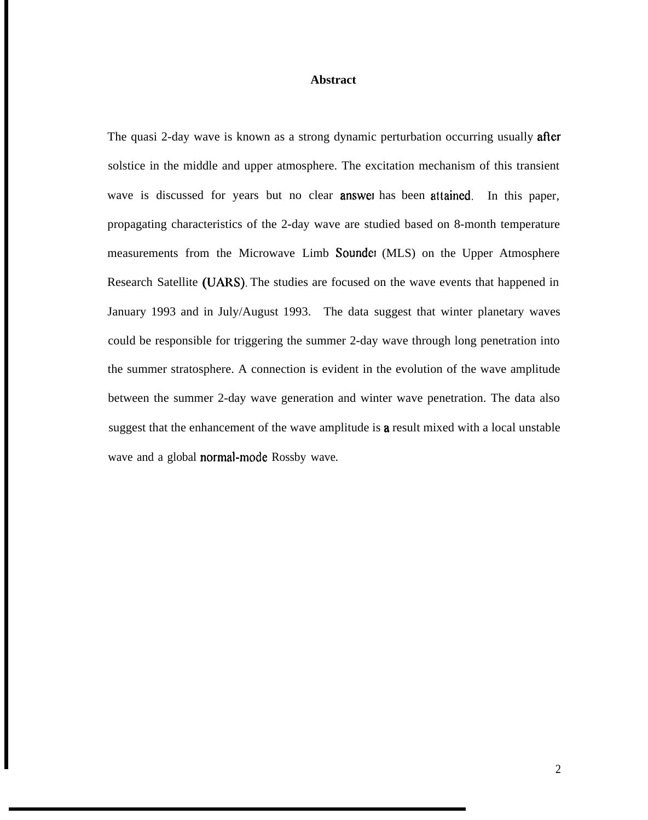## **Abstract**

The quasi 2-day wave is known as a strong dynamic perturbation occurring usually after solstice in the middle and upper atmosphere. The excitation mechanism of this transient wave is discussed for years but no clear **answe** has been attained. In this paper, propagating characteristics of the 2-day wave are studied based on 8-month temperature measurements from the Microwave Limb Sounder (MLS) on the Upper Atmosphere Research Satellite (UARS). The studies are focused on the wave events that happened in January 1993 and in July/August 1993. The data suggest that winter planetary waves could be responsible for triggering the summer 2-day wave through long penetration into the summer stratosphere. A connection is evident in the evolution of the wave amplitude between the summer 2-day wave generation and winter wave penetration. The data also suggest that the enhancement of the wave amplitude is **a** result mixed with a local unstable wave and a global normal-mode Rossby wave.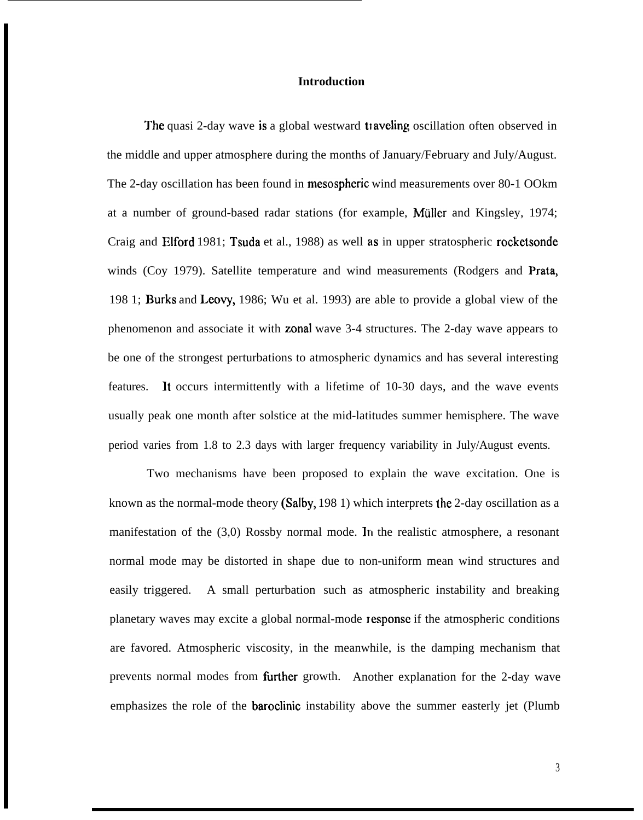#### **Introduction**

The quasi 2-day wave is a global westward traveling oscillation often observed in the middle and upper atmosphere during the months of January/February and July/August. The 2-day oscillation has been found in mesospheric wind measurements over 80-1 OOkm at a number of ground-based radar stations (for example, Mullcr and Kingsley, 1974; Craig and Elford 1981; Tsuda et al., 1988) as well as in upper stratospheric rocketsonde winds (Coy 1979). Satellite temperature and wind measurements (Rodgers and Prata, 198 1; Burks and Leovy, 1986; Wu et al. 1993) are able to provide a global view of the phenomenon and associate it with zonal wave 3-4 structures. The 2-day wave appears to be one of the strongest perturbations to atmospheric dynamics and has several interesting features. It occurs intermittently with a lifetime of 10-30 days, and the wave events usually peak one month after solstice at the mid-latitudes summer hemisphere. The wave period varies from 1.8 to 2.3 days with larger frequency variability in July/August events.

Two mechanisms have been proposed to explain the wave excitation. One is known as the normal-mode theory (Salby, 198 1) which interprets the 2-day oscillation as a manifestation of the (3,0) Rossby normal mode. In the realistic atmosphere, a resonant normal mode may be distorted in shape due to non-uniform mean wind structures and easily triggered. A small perturbation such as atmospheric instability and breaking planetary waves may excite a global normal-mode response if the atmospheric conditions are favored. Atmospheric viscosity, in the meanwhile, is the damping mechanism that prevents normal modes from further growth. Another explanation for the 2-day wave emphasizes the role of the baroclinic instability above the summer easterly jet (Plumb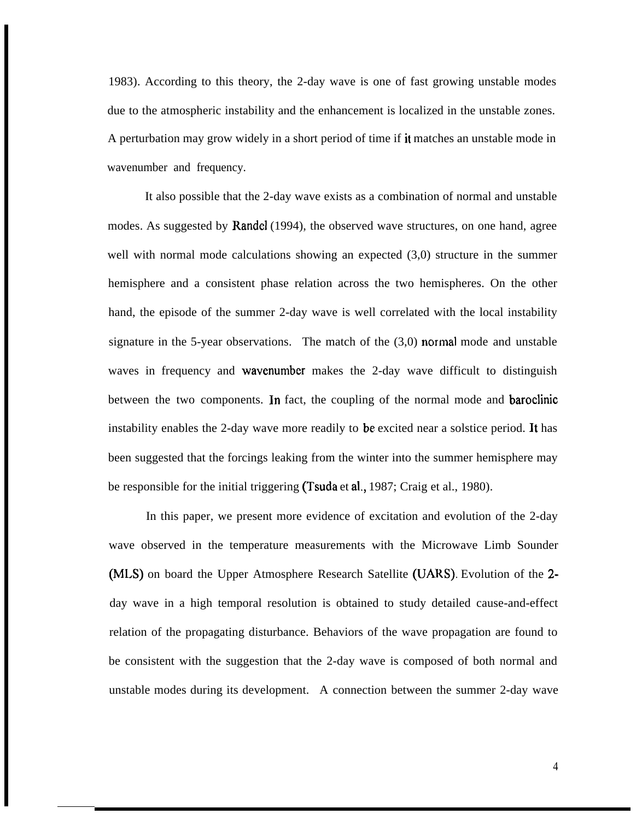1983). According to this theory, the 2-day wave is one of fast growing unstable modes due to the atmospheric instability and the enhancement is localized in the unstable zones. A perturbation may grow widely in a short period of time if it matches an unstable mode in wavenumber and frequency.

It also possible that the 2-day wave exists as a combination of normal and unstable modes. As suggested by Randel (1994), the observed wave structures, on one hand, agree well with normal mode calculations showing an expected  $(3,0)$  structure in the summer hemisphere and a consistent phase relation across the two hemispheres. On the other hand, the episode of the summer 2-day wave is well correlated with the local instability signature in the 5-year observations. The match of the  $(3,0)$  normal mode and unstable waves in frequency and wavenumber makes the 2-day wave difficult to distinguish between the two components. In fact, the coupling of the normal mode and baroclinic instability enables the 2-day wave more readily to be excited near a solstice period. It has been suggested that the forcings leaking from the winter into the summer hemisphere may be responsible for the initial triggering (Tsuda et al., 1987; Craig et al., 1980).

In this paper, we present more evidence of excitation and evolution of the 2-day wave observed in the temperature measurements with the Microwave Limb Sounder (MLS) on board the Upper Atmosphere Research Satellite (UARS). Evolution of the 2 day wave in a high temporal resolution is obtained to study detailed cause-and-effect relation of the propagating disturbance. Behaviors of the wave propagation are found to be consistent with the suggestion that the 2-day wave is composed of both normal and unstable modes during its development. A connection between the summer 2-day wave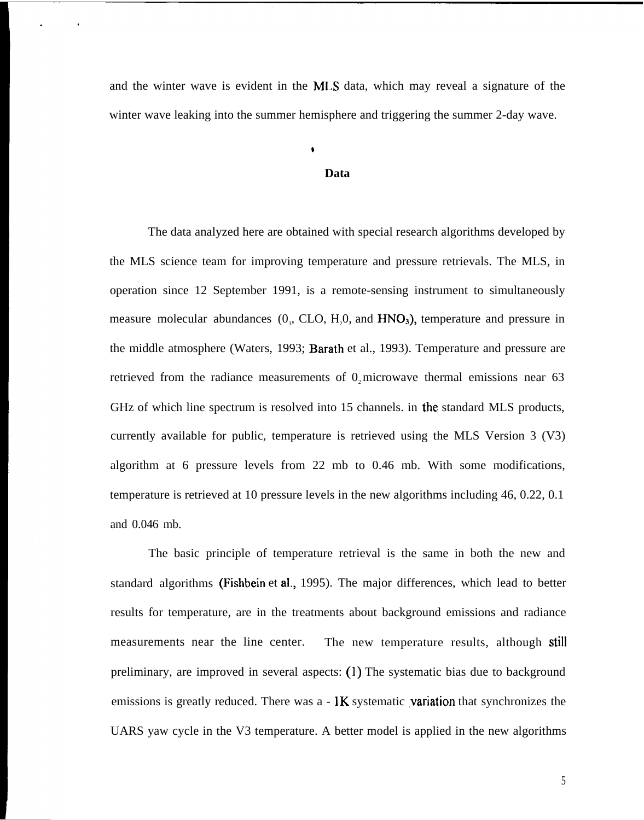and the winter wave is evident in the MLS data, which may reveal a signature of the winter wave leaking into the summer hemisphere and triggering the summer 2-day wave.

#### **Data**

The data analyzed here are obtained with special research algorithms developed by the MLS science team for improving temperature and pressure retrievals. The MLS, in operation since 12 September 1991, is a remote-sensing instrument to simultaneously measure molecular abundances  $(0, CLO, H<sub>2</sub>0, and HNO<sub>3</sub>)$ , temperature and pressure in the middle atmosphere (Waters, 1993; Barath et al., 1993). Temperature and pressure are retrieved from the radiance measurements of  $0$ , microwave thermal emissions near 63 GHz of which line spectrum is resolved into 15 channels. in the standard MLS products, currently available for public, temperature is retrieved using the MLS Version 3 (V3) algorithm at 6 pressure levels from 22 mb to 0.46 mb. With some modifications, temperature is retrieved at 10 pressure levels in the new algorithms including 46, 0.22, 0.1 and 0.046 mb.

The basic principle of temperature retrieval is the same in both the new and standard algorithms (Fishbein et al,, 1995). The major differences, which lead to better results for temperature, are in the treatments about background emissions and radiance measurements near the line center. The new temperature results, although still preliminary, are improved in several aspects: (1) The systematic bias due to background emissions is greatly reduced. There was  $a - \mathbf{K}$  systematic **variation** that synchronizes the UARS yaw cycle in the V3 temperature. A better model is applied in the new algorithms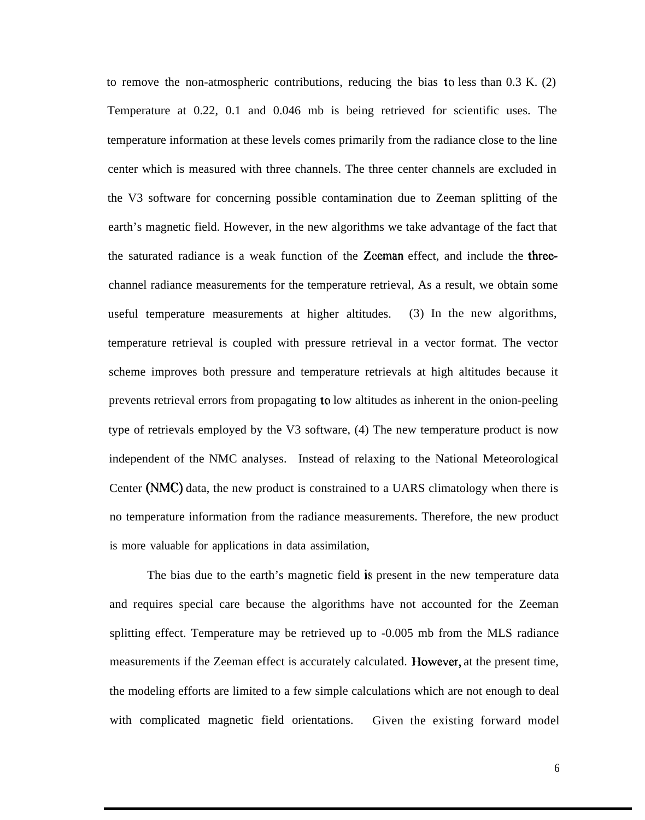to remove the non-atmospheric contributions, reducing the bias to less than  $0.3$  K. (2) Temperature at 0.22, 0.1 and 0.046 mb is being retrieved for scientific uses. The temperature information at these levels comes primarily from the radiance close to the line center which is measured with three channels. The three center channels are excluded in the V3 software for concerning possible contamination due to Zeeman splitting of the earth's magnetic field. However, in the new algorithms we take advantage of the fact that the saturated radiance is a weak function of the Zceman effect, and include the threechannel radiance measurements for the temperature retrieval, As a result, we obtain some useful temperature measurements at higher altitudes. (3) In the new algorithms, temperature retrieval is coupled with pressure retrieval in a vector format. The vector scheme improves both pressure and temperature retrievals at high altitudes because it prevents retrieval errors from propagating to low altitudes as inherent in the onion-peeling type of retrievals employed by the V3 software, (4) The new temperature product is now independent of the NMC analyses. Instead of relaxing to the National Meteorological Center (NMC) data, the new product is constrained to a UARS climatology when there is no temperature information from the radiance measurements. Therefore, the new product is more valuable for applications in data assimilation,

The bias due to the earth's magnetic field is present in the new temperature data and requires special care because the algorithms have not accounted for the Zeeman splitting effect. Temperature may be retrieved up to -0.005 mb from the MLS radiance measurements if the Zeeman effect is accurately calculated. IIowever, at the present time, the modeling efforts are limited to a few simple calculations which are not enough to deal with complicated magnetic field orientations. Given the existing forward model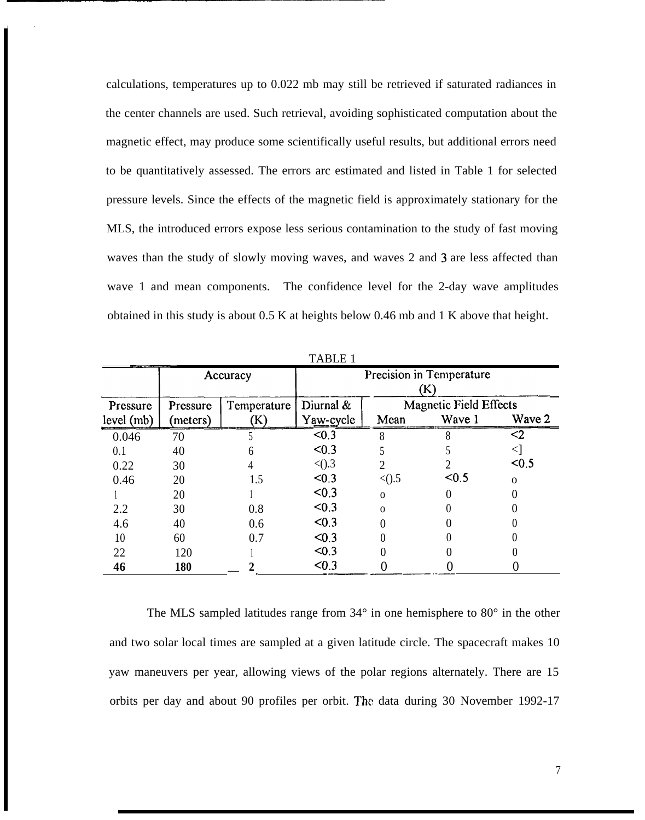calculations, temperatures up to 0.022 mb may still be retrieved if saturated radiances in the center channels are used. Such retrieval, avoiding sophisticated computation about the magnetic effect, may produce some scientifically useful results, but additional errors need to be quantitatively assessed. The errors arc estimated and listed in Table 1 for selected pressure levels. Since the effects of the magnetic field is approximately stationary for the MLS, the introduced errors expose less serious contamination to the study of fast moving waves than the study of slowly moving waves, and waves 2 and 3 are less affected than wave 1 and mean components. The confidence level for the 2-day wave amplitudes obtained in this study is about 0.5 K at heights below 0.46 mb and 1 K above that height.

| Pressure<br>level (mb) | Accuracy             |                   | Precision in Temperature<br>$\bf(K)$ |          |                                         |          |
|------------------------|----------------------|-------------------|--------------------------------------|----------|-----------------------------------------|----------|
|                        | Pressure<br>(meters) | Temperature<br>K) | Diurnal &<br>Yaw-cycle               | Mean     | <b>Magnetic Field Effects</b><br>Wave 1 | Wave 2   |
| 0.046                  | 70                   |                   | < 0.3                                |          |                                         | <2       |
| 0.1                    | 40                   |                   | < 0.3                                |          |                                         |          |
| 0.22                   | 30                   |                   | < 0.3                                |          |                                         | < 0.5    |
| 0.46                   | 20                   | 1.5               | < 0.3                                | $<$ ().5 | < 0.5                                   | $\Omega$ |
|                        | 20                   |                   | < 0.3                                | $\Omega$ |                                         |          |
| 2.2                    | 30                   | 0.8               | < 0.3                                | $\Omega$ |                                         |          |
| 4.6                    | 40                   | 0.6               | < 0.3                                |          |                                         |          |
| 10                     | 60                   | 0.7               | < 0.3                                |          |                                         |          |
| 22                     | 120                  |                   | < 0.3                                |          |                                         |          |
| 46                     | 180                  |                   | < 0.3                                |          |                                         |          |

TABLE 1

The MLS sampled latitudes range from 34° in one hemisphere to 80° in the other and two solar local times are sampled at a given latitude circle. The spacecraft makes 10 yaw maneuvers per year, allowing views of the polar regions alternately. There are 15 orbits per day and about 90 profiles per orbit. The data during 30 November 1992-17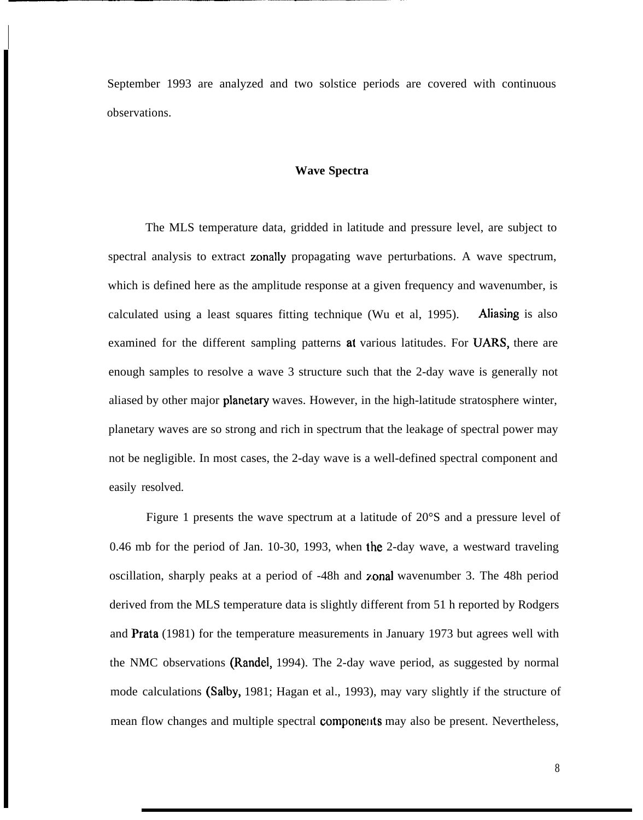September 1993 are analyzed and two solstice periods are covered with continuous observations.

I

## **Wave Spectra**

The MLS temperature data, gridded in latitude and pressure level, are subject to spectral analysis to extract zonally propagating wave perturbations. A wave spectrum, which is defined here as the amplitude response at a given frequency and wavenumber, is calculated using a least squares fitting technique (Wu et al, 1995). Aliasing is also examined for the different sampling patterns at various latitudes. For UARS, there are enough samples to resolve a wave 3 structure such that the 2-day wave is generally not aliased by other major **planetary** waves. However, in the high-latitude stratosphere winter, planetary waves are so strong and rich in spectrum that the leakage of spectral power may not be negligible. In most cases, the 2-day wave is a well-defined spectral component and easily resolved.

Figure 1 presents the wave spectrum at a latitude of 20°S and a pressure level of 0.46 mb for the period of Jan. 10-30, 1993, when the 2-day wave, a westward traveling oscillation, sharply peaks at a period of -48h and zonal wavenumber 3. The 48h period derived from the MLS temperature data is slightly different from 51 h reported by Rodgers and Prata (1981) for the temperature measurements in January 1973 but agrees well with the NMC observations (Randel, 1994). The 2-day wave period, as suggested by normal mode calculations (Salby, 1981; Hagan et al., 1993), may vary slightly if the structure of mean flow changes and multiple spectral **components** may also be present. Nevertheless,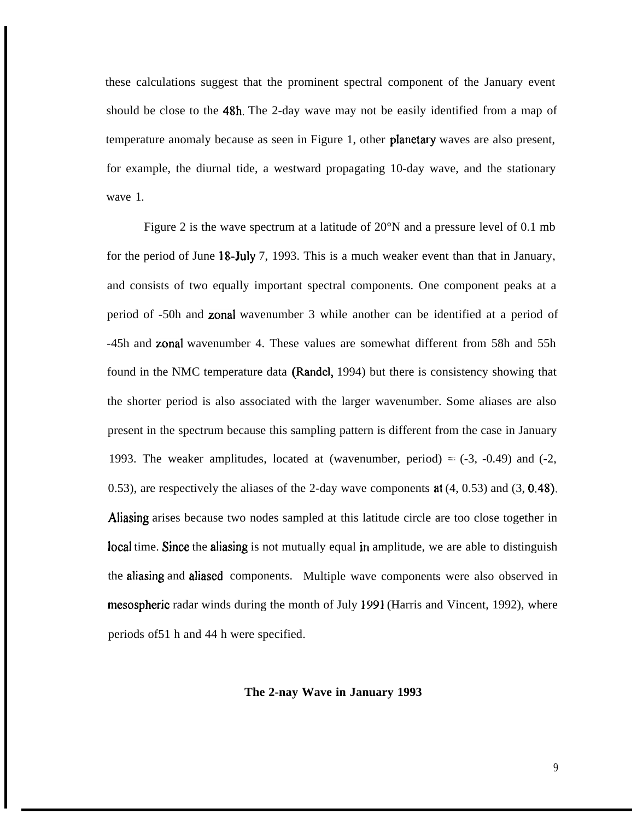these calculations suggest that the prominent spectral component of the January event should be close to the 48h. The 2-day wave may not be easily identified from a map of temperature anomaly because as seen in Figure 1, other planetary waves are also present, for example, the diurnal tide, a westward propagating 10-day wave, and the stationary wave 1.

Figure 2 is the wave spectrum at a latitude of 20°N and a pressure level of 0.1 mb for the period of June 18-July 7, 1993. This is a much weaker event than that in January, and consists of two equally important spectral components. One component peaks at a period of -50h and zonal wavenumber 3 while another can be identified at a period of -45h and zonal wavenumber 4. These values are somewhat different from 58h and 55h found in the NMC temperature data (Randel, 1994) but there is consistency showing that the shorter period is also associated with the larger wavenumber. Some aliases are also present in the spectrum because this sampling pattern is different from the case in January 1993. The weaker amplitudes, located at (wavenumber, period)  $=$  (-3, -0.49) and (-2, 0.53), are respectively the aliases of the 2-day wave components at (4, 0.53) and (3, 0,48). Aliasing arises because two nodes sampled at this latitude circle are too close together in local time. Since the aliasing is not mutually equal in amplitude, we are able to distinguish the aliasing and aliased components. Multiple wave components were also observed in mesospheric radar winds during the month of July 1991 (Harris and Vincent, 1992), where periods of51 h and 44 h were specified.

## **The 2-nay Wave in January 1993**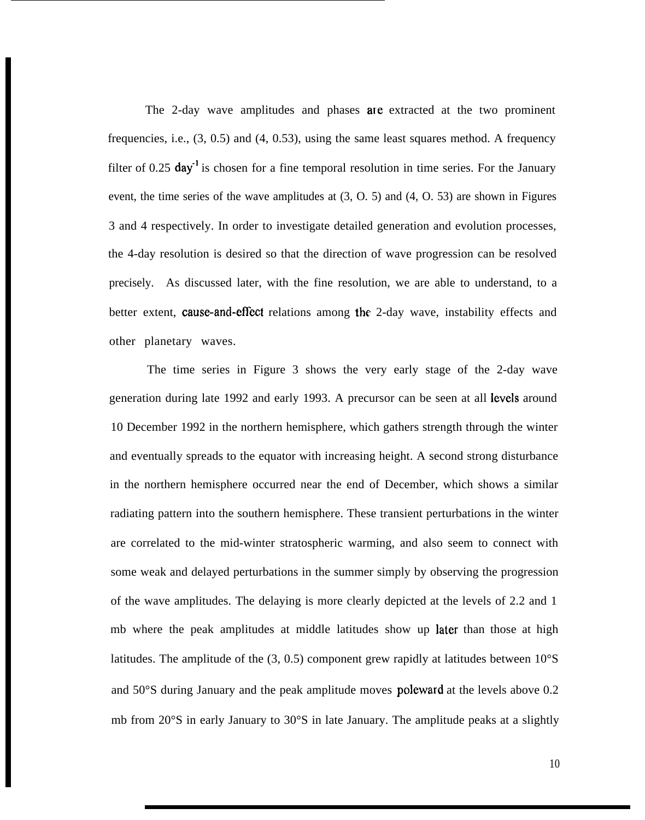The 2-day wave amplitudes and phases are extracted at the two prominent frequencies, i.e., (3, 0.5) and (4, 0.53), using the same least squares method. A frequency filter of 0.25  $day^1$  is chosen for a fine temporal resolution in time series. For the January event, the time series of the wave amplitudes at (3, O. 5) and (4, O. 53) are shown in Figures 3 and 4 respectively. In order to investigate detailed generation and evolution processes, the 4-day resolution is desired so that the direction of wave progression can be resolved precisely. As discussed later, with the fine resolution, we are able to understand, to a better extent, cause-and-effect relations among the 2-day wave, instability effects and other planetary waves.

The time series in Figure 3 shows the very early stage of the 2-day wave generation during late 1992 and early 1993. A precursor can be seen at all levels around 10 December 1992 in the northern hemisphere, which gathers strength through the winter and eventually spreads to the equator with increasing height. A second strong disturbance in the northern hemisphere occurred near the end of December, which shows a similar radiating pattern into the southern hemisphere. These transient perturbations in the winter are correlated to the mid-winter stratospheric warming, and also seem to connect with some weak and delayed perturbations in the summer simply by observing the progression of the wave amplitudes. The delaying is more clearly depicted at the levels of 2.2 and 1 mb where the peak amplitudes at middle latitudes show up later than those at high latitudes. The amplitude of the  $(3, 0.5)$  component grew rapidly at latitudes between  $10^{\circ}$ S and 50°S during January and the peak amplitude moves poleward at the levels above 0.2 mb from 20°S in early January to 30°S in late January. The amplitude peaks at a slightly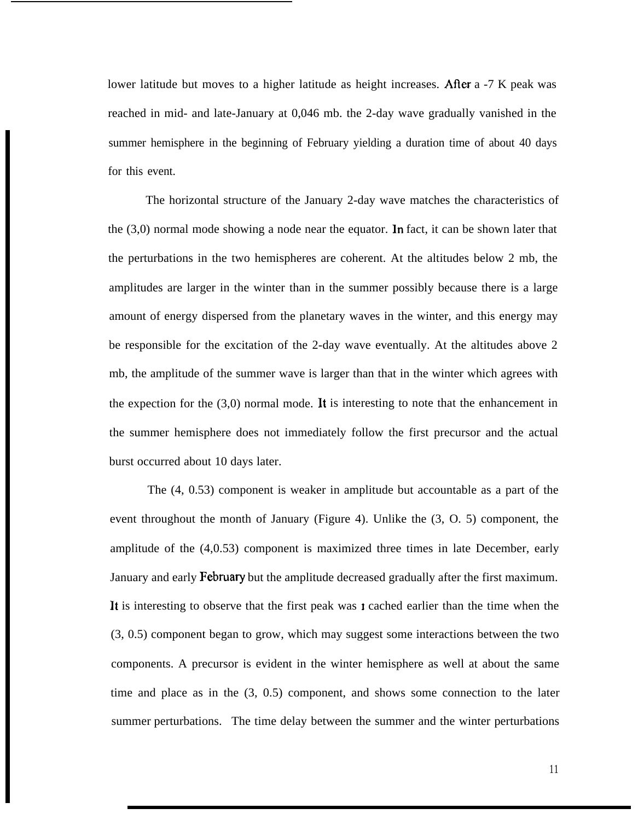lower latitude but moves to a higher latitude as height increases. After a -7 K peak was reached in mid- and late-January at 0,046 mb. the 2-day wave gradually vanished in the summer hemisphere in the beginning of February yielding a duration time of about 40 days for this event.

The horizontal structure of the January 2-day wave matches the characteristics of the (3,0) normal mode showing a node near the equator. In fact, it can be shown later that the perturbations in the two hemispheres are coherent. At the altitudes below 2 mb, the amplitudes are larger in the winter than in the summer possibly because there is a large amount of energy dispersed from the planetary waves in the winter, and this energy may be responsible for the excitation of the 2-day wave eventually. At the altitudes above 2 mb, the amplitude of the summer wave is larger than that in the winter which agrees with the expection for the  $(3,0)$  normal mode. It is interesting to note that the enhancement in the summer hemisphere does not immediately follow the first precursor and the actual burst occurred about 10 days later.

The (4, 0.53) component is weaker in amplitude but accountable as a part of the event throughout the month of January (Figure 4). Unlike the (3, O. 5) component, the amplitude of the (4,0.53) component is maximized three times in late December, early January and early February but the amplitude decreased gradually after the first maximum. It is interesting to observe that the first peak was  $\mathbf r$  cached earlier than the time when the (3, 0.5) component began to grow, which may suggest some interactions between the two components. A precursor is evident in the winter hemisphere as well at about the same time and place as in the (3, 0.5) component, and shows some connection to the later summer perturbations. The time delay between the summer and the winter perturbations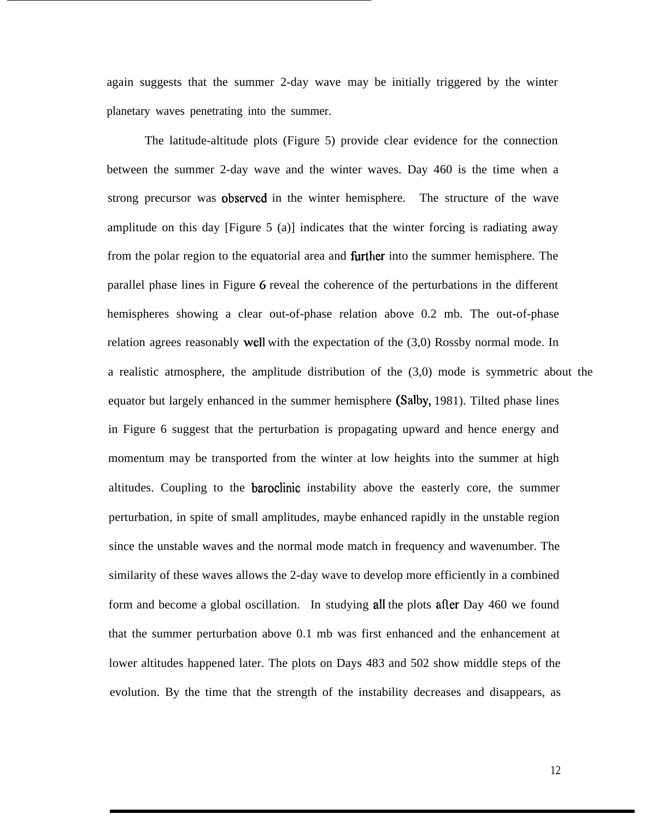again suggests that the summer 2-day wave may be initially triggered by the winter planetary waves penetrating into the summer.

The latitude-altitude plots (Figure 5) provide clear evidence for the connection between the summer 2-day wave and the winter waves. Day 460 is the time when a strong precursor was observed in the winter hemisphere. The structure of the wave amplitude on this day [Figure 5 (a)] indicates that the winter forcing is radiating away from the polar region to the equatorial area and **further** into the summer hemisphere. The parallel phase lines in Figure 6 reveal the coherence of the perturbations in the different hemispheres showing a clear out-of-phase relation above 0.2 mb. The out-of-phase relation agrees reasonably well with the expectation of the (3,0) Rossby normal mode. In a realistic atmosphere, the amplitude distribution of the (3,0) mode is symmetric about the equator but largely enhanced in the summer hemisphere (Salby, 1981). Tilted phase lines in Figure 6 suggest that the perturbation is propagating upward and hence energy and momentum may be transported from the winter at low heights into the summer at high altitudes. Coupling to the baroclinic instability above the easterly core, the summer perturbation, in spite of small amplitudes, maybe enhanced rapidly in the unstable region since the unstable waves and the normal mode match in frequency and wavenumber. The similarity of these waves allows the 2-day wave to develop more efficiently in a combined form and become a global oscillation. In studying all the plots afier Day 460 we found that the summer perturbation above 0.1 mb was first enhanced and the enhancement at lower altitudes happened later. The plots on Days 483 and 502 show middle steps of the evolution. By the time that the strength of the instability decreases and disappears, as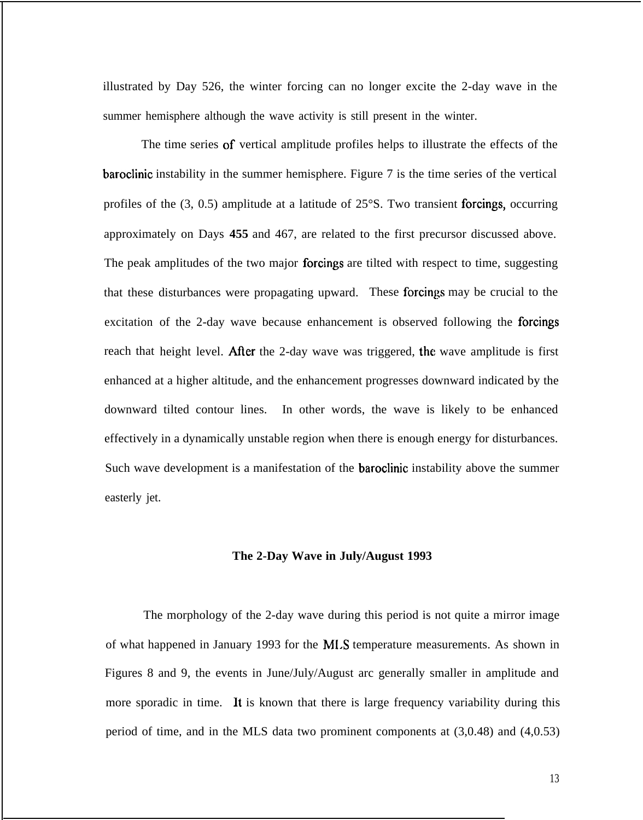illustrated by Day 526, the winter forcing can no longer excite the 2-day wave in the summer hemisphere although the wave activity is still present in the winter.

The time series of vertical amplitude profiles helps to illustrate the effects of the baroclinic instability in the summer hemisphere. Figure 7 is the time series of the vertical profiles of the (3, 0.5) amplitude at a latitude of 25°S. Two transient forcings, occurring approximately on Days **455** and 467, are related to the first precursor discussed above. The peak amplitudes of the two major forcings are tilted with respect to time, suggesting that these disturbances were propagating upward. These forcings may be crucial to the excitation of the 2-day wave because enhancement is observed following the forcings reach that height level. After the 2-day wave was triggered, the wave amplitude is first enhanced at a higher altitude, and the enhancement progresses downward indicated by the downward tilted contour lines. In other words, the wave is likely to be enhanced effectively in a dynamically unstable region when there is enough energy for disturbances. Such wave development is a manifestation of the baroclinic instability above the summer easterly jet.

#### **The 2-Day Wave in July/August 1993**

The morphology of the 2-day wave during this period is not quite a mirror image of what happened in January 1993 for the M1.S temperature measurements. As shown in Figures 8 and 9, the events in June/July/August arc generally smaller in amplitude and more sporadic in time. It is known that there is large frequency variability during this period of time, and in the MLS data two prominent components at (3,0.48) and (4,0.53)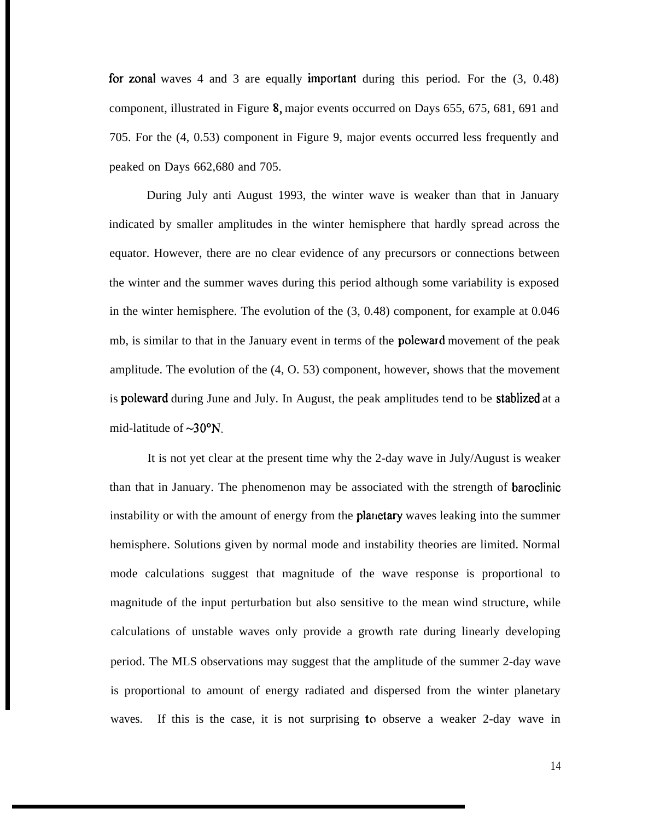for zonal waves 4 and 3 are equally important during this period. For the  $(3, 0.48)$ component, illustrated in Figure 8, major events occurred on Days 655, 675, 681, 691 and 705. For the (4, 0.53) component in Figure 9, major events occurred less frequently and peaked on Days 662,680 and 705.

During July anti August 1993, the winter wave is weaker than that in January indicated by smaller amplitudes in the winter hemisphere that hardly spread across the equator. However, there are no clear evidence of any precursors or connections between the winter and the summer waves during this period although some variability is exposed in the winter hemisphere. The evolution of the (3, 0.48) component, for example at 0.046 mb, is similar to that in the January event in terms of the poleward movement of the peak amplitude. The evolution of the (4, O. 53) component, however, shows that the movement is poleward during June and July. In August, the peak amplitudes tend to be stablized at a mid-latitude of  $\sim 30^{\circ}$ N.

It is not yet clear at the present time why the 2-day wave in July/August is weaker than that in January. The phenomenon may be associated with the strength of baroclinic instability or with the amount of energy from the **planetary** waves leaking into the summer hemisphere. Solutions given by normal mode and instability theories are limited. Normal mode calculations suggest that magnitude of the wave response is proportional to magnitude of the input perturbation but also sensitive to the mean wind structure, while calculations of unstable waves only provide a growth rate during linearly developing period. The MLS observations may suggest that the amplitude of the summer 2-day wave is proportional to amount of energy radiated and dispersed from the winter planetary waves. If this is the case, it is not surprising to observe a weaker 2-day wave in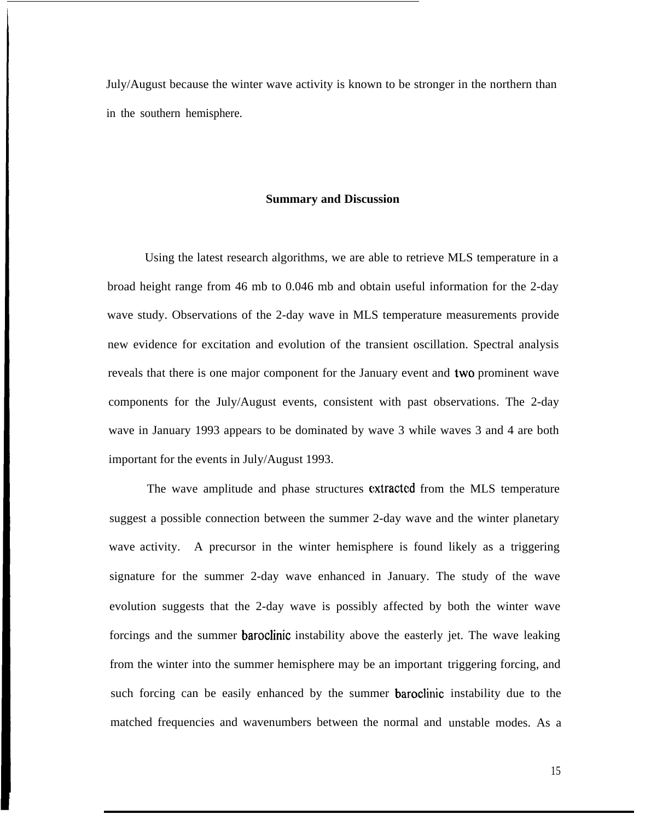July/August because the winter wave activity is known to be stronger in the northern than in the southern hemisphere.

#### **Summary and Discussion**

Using the latest research algorithms, we are able to retrieve MLS temperature in a broad height range from 46 mb to 0.046 mb and obtain useful information for the 2-day wave study. Observations of the 2-day wave in MLS temperature measurements provide new evidence for excitation and evolution of the transient oscillation. Spectral analysis reveals that there is one major component for the January event and two prominent wave components for the July/August events, consistent with past observations. The 2-day wave in January 1993 appears to be dominated by wave 3 while waves 3 and 4 are both important for the events in July/August 1993.

The wave amplitude and phase structures extracted from the MLS temperature suggest a possible connection between the summer 2-day wave and the winter planetary wave activity. A precursor in the winter hemisphere is found likely as a triggering signature for the summer 2-day wave enhanced in January. The study of the wave evolution suggests that the 2-day wave is possibly affected by both the winter wave forcings and the summer baroclinic instability above the easterly jet. The wave leaking from the winter into the summer hemisphere may be an important triggering forcing, and such forcing can be easily enhanced by the summer baroclinic instability due to the matched frequencies and wavenumbers between the normal and unstable modes. As a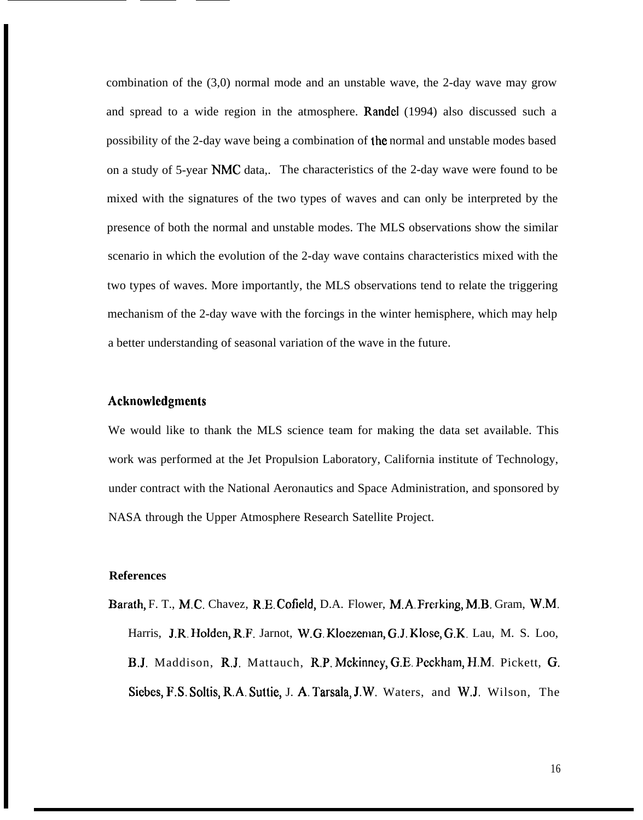combination of the (3,0) normal mode and an unstable wave, the 2-day wave may grow and spread to a wide region in the atmosphere. Randel (1994) also discussed such a possibility of the 2-day wave being a combination of Ihe normal and unstable modes based on a study of 5-year NMC data,. The characteristics of the 2-day wave were found to be mixed with the signatures of the two types of waves and can only be interpreted by the presence of both the normal and unstable modes. The MLS observations show the similar scenario in which the evolution of the 2-day wave contains characteristics mixed with the two types of waves. More importantly, the MLS observations tend to relate the triggering mechanism of the 2-day wave with the forcings in the winter hemisphere, which may help a better understanding of seasonal variation of the wave in the future.

## **Acknowlcdgmcnts**

We would like to thank the MLS science team for making the data set available. This work was performed at the Jet Propulsion Laboratory, California institute of Technology, under contract with the National Aeronautics and Space Administration, and sponsored by NASA through the Upper Atmosphere Research Satellite Project.

## **References**

Barath, F. T., M.C. Chavez, R.E. Cofield, D.A. Flower, M.A, Frerking, M.B. Gram, W.M. Harris, J.R. Holden, R.F. Jarnot, W.G. Kloezeman, G.J. Klose, G.K. Lau, M. S. Loo, B.J. Maddison, R,J. Mattauch, R,P. Mckinney, G.E. Peckham, H,M. Pickett, G, Siebes, F.S. Soltis, R,A. Suttie, J. A, Tarsala, J.W. Waters, and W.J. Wilson, The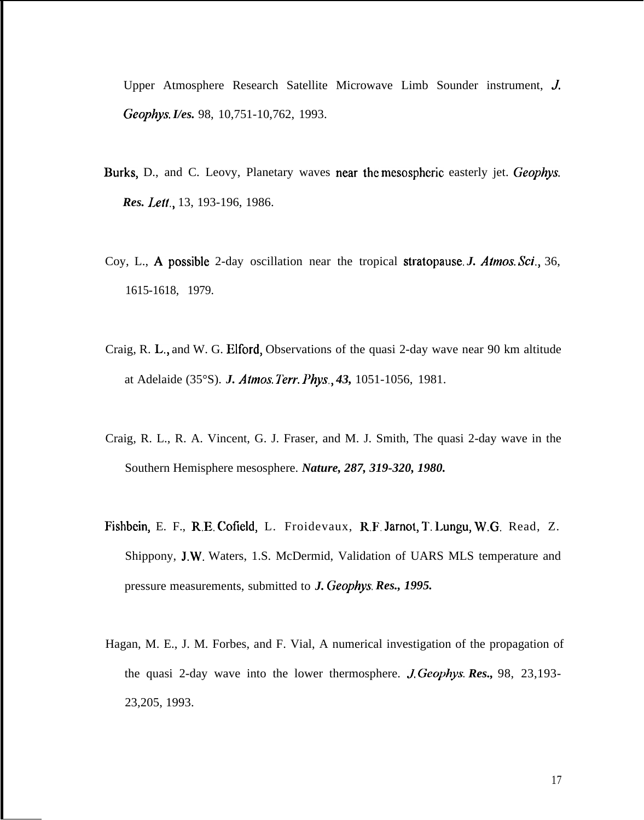Upper Atmosphere Research Satellite Microwave Limb Sounder instrument, J *Geophys. I/es.* 98, 10,751-10,762, 1993.

- Burks, D., and C. Leovy, Planetary waves near the mesospheric easterly jet. *Geophys. Res. Lelt.,* 13, 193-196, 1986.
- Coy, L., Apossible 2-day oscillation near the tropical stratopause. *J. Atmos. Sci.,* 36, 1615-1618, 1979.
- Craig, R. L., and W. G. Elford, Observations of the quasi 2-day wave near 90 km altitude at Adelaide (35°S). *J. Atmos. Terr. Phys., 43,* 1051-1056, 1981.
- Craig, R. L., R. A. Vincent, G. J. Fraser, and M. J. Smith, The quasi 2-day wave in the Southern Hemisphere mesosphere. *Nature, 287, 319-320, 1980.*
- Fishbein, E. F., R.E. Cofield, L. Froidevaux, R.F. Jarnot, T. l.ungu, W.G. Read, Z. Shippony, J.W. Waters, 1.S. McDermid, Validation of UARS MLS temperature and pressure measurements, submitted to *J. Geophys. Res., 1995.*
- Hagan, M. E., J. M. Forbes, and F. Vial, A numerical investigation of the propagation of the quasi 2-day wave into the lower thermosphere. *J. Geophys. Res.*, 98, 23,193-23,205, 1993.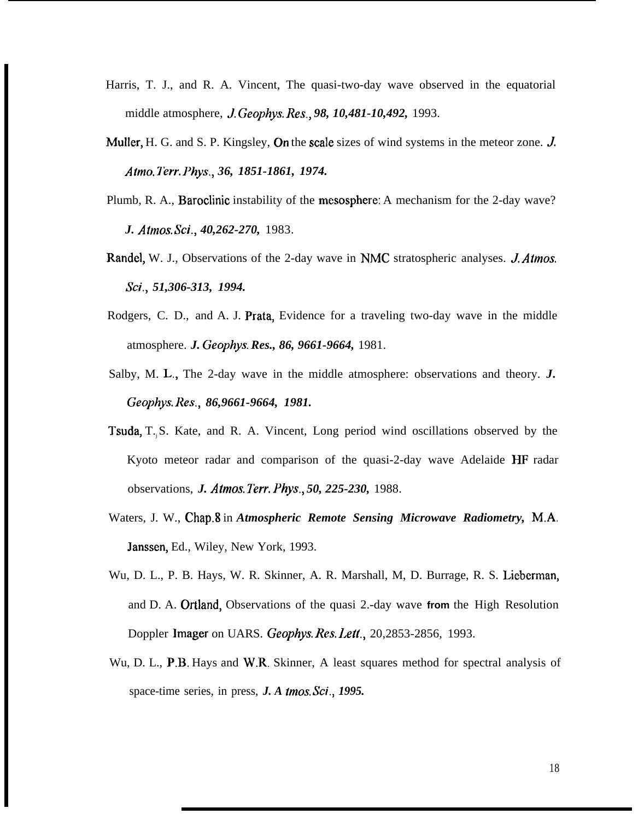- Harris, T. J., and R. A. Vincent, The quasi-two-day wave observed in the equatorial middle atmosphere, J. *Geophys. Res., 98, 10,481-10,492,* 1993.
- Muller, H. G. and S. P. Kingsley, On the scale sizes of wind systems in the meteor zone. J. *Afmo. Yerr. Phys., 36, 1851-1861, 1974.*
- Plumb, R. A., Baroclinic instability of the mesosphere: A mechanism for the 2-day wave? *J. Atmos. Sci., 40,262-270,* 1983.
- Randel, W. J., Observations of the 2-day wave in NMC stratospheric analyses. *J. Atmos. Sci., 51,306-313, 1994.*
- Rodgers, C. D., and A. J. Prata, Evidence for a traveling two-day wave in the middle atmosphere. *J. Geophys. Res., 86, 9661-9664,* 1981.
- Salby, M. L,, The 2-day wave in the middle atmosphere: observations and theory. *J. Geophys. Res., 86,9661-9664, 1981.*
- Tsuda, T.j S. Kate, and R. A. Vincent, Long period wind oscillations observed by the Kyoto meteor radar and comparison of the quasi-2-day wave Adelaide HF radar observations, *J. Atmos. Terr. Phys., 50, 225-230,* 1988.
- Waters, J. W., Chap.8 in *Atmospheric Remote Sensing Microwave Radiometry,* M.A. Janssen, Ed., Wiley, New York, 1993.
- Wu, D. L., P. B. Hays, W. R. Skinner, A. R. Marshall, M, D. Burrage, R. S. Lieberman, and D. A. Ortland, Observations of the quasi 2.-day wave **from** the High Resolution Doppler Imager on UARS. *Geophys. Res. Leff.,* 20,2853-2856, 1993.
- Wu, D. L., P.B. Hays and W.R. Skinner, A least squares method for spectral analysis of space-time series, in press, *J. A tmos. Sci., 1995.*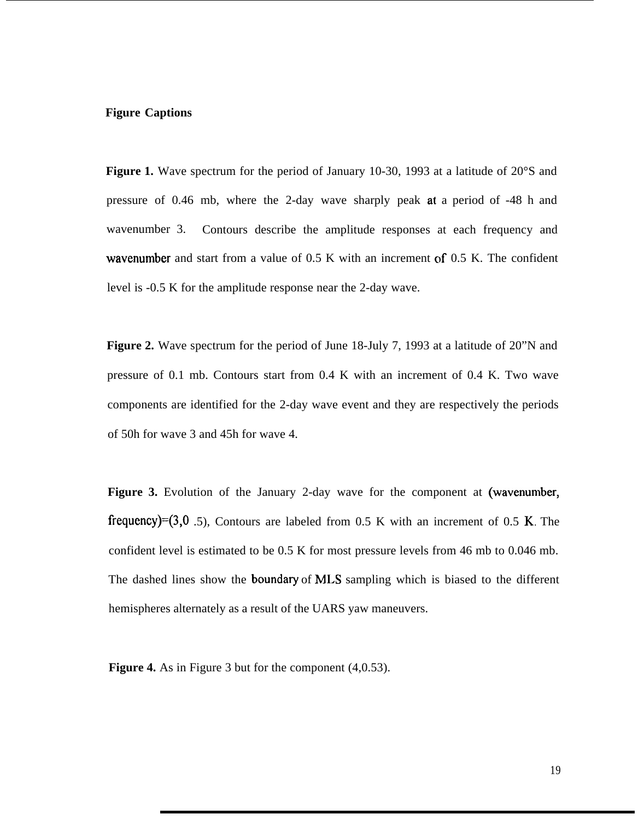## **Figure Captions**

Figure 1. Wave spectrum for the period of January 10-30, 1993 at a latitude of 20°S and pressure of 0.46 mb, where the 2-day wave sharply peak at a period of -48 h and wavenumber 3. Contours describe the amplitude responses at each frequency and wavenumber and start from a value of 0.5 K with an increment of 0.5 K. The confident level is -0.5 K for the amplitude response near the 2-day wave.

**Figure 2.** Wave spectrum for the period of June 18-July 7, 1993 at a latitude of 20"N and pressure of 0.1 mb. Contours start from 0.4 K with an increment of 0.4 K. Two wave components are identified for the 2-day wave event and they are respectively the periods of 50h for wave 3 and 45h for wave 4.

Figure 3. Evolution of the January 2-day wave for the component at (wavenumber, frequency)=(3,0 .5), Contours are labeled from 0.5 K with an increment of 0.5 K. The confident level is estimated to be 0.5 K for most pressure levels from 46 mb to 0.046 mb. The dashed lines show the boundary of MLS sampling which is biased to the different hemispheres alternately as a result of the UARS yaw maneuvers.

**Figure 4.** As in Figure 3 but for the component (4,0.53).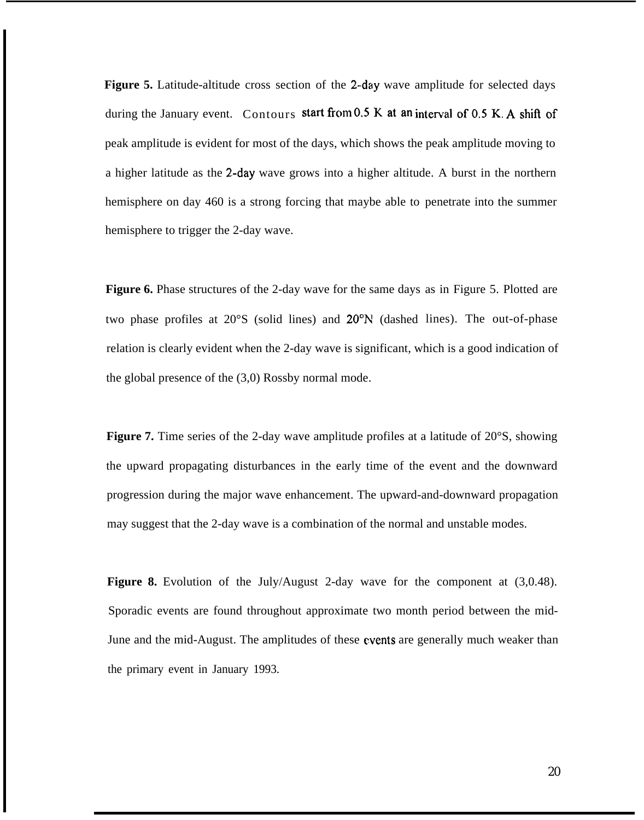**Figure 5.** Latitude-altitude cross section of the 2-day wave amplitude for selected days during the January event. Contours start from 0.5 K at an interval of 0.5 K. A shift of peak amplitude is evident for most of the days, which shows the peak amplitude moving to a higher latitude as the Z-day wave grows into a higher altitude. A burst in the northern hemisphere on day 460 is a strong forcing that maybe able to penetrate into the summer hemisphere to trigger the 2-day wave.

Figure 6. Phase structures of the 2-day wave for the same days as in Figure 5. Plotted are two phase profiles at 20°S (solid lines) and 20"N (dashed lines). The out-of-phase relation is clearly evident when the 2-day wave is significant, which is a good indication of the global presence of the (3,0) Rossby normal mode.

**Figure 7.** Time series of the 2-day wave amplitude profiles at a latitude of 20°S, showing the upward propagating disturbances in the early time of the event and the downward progression during the major wave enhancement. The upward-and-downward propagation may suggest that the 2-day wave is a combination of the normal and unstable modes.

**Figure 8.** Evolution of the July/August 2-day wave for the component at (3,0.48). Sporadic events are found throughout approximate two month period between the mid-June and the mid-August. The amplitudes of these events are generally much weaker than the primary event in January 1993.